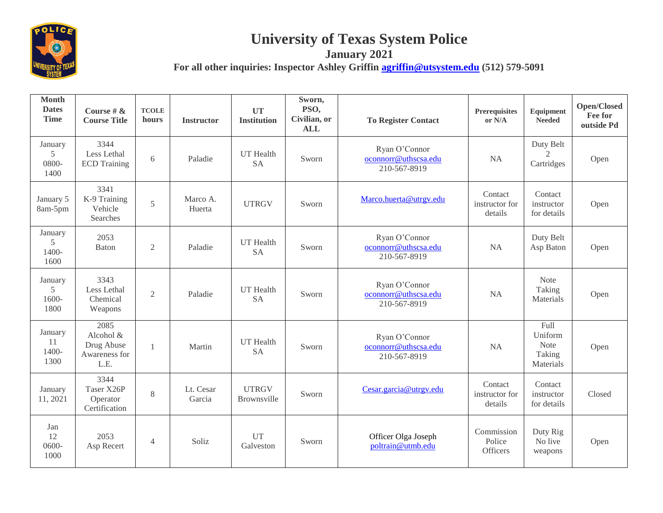

## **University of Texas System Police**

**January 2021** For all other inquiries: Inspector Ashley Griffin **agriffin** @utsystem.edu (512) 579-5091

**Month Dates Time Course # & Course Title TCOLE hours Instructor UT Institution Sworn, PSO, Civilian, or ALL To Register Contact Prerequisites or N/A Equipment Needed Open/Closed Fee for outside Pd** January 5 0800- 1400 3344 Less Lethal Less Lethal 6 Paladie UT Health<br>ECD Training 6 Paladie SA Sworn Ryan O'Connor [oconnorr@uthscsa.edu](mailto:oconnorr@uthscsa.edu) 210-567-8919 NA Duty Belt  $\mathcal{D}_{\alpha}$ Cartridges Open January 5 8am-5pm 3341 K-9 Training Vehicle Searches 5 Marco A. Marco A. UTRGV Sworn [Marco.huerta@utrgv.edu](mailto:Marco.huerta@utrgv.edu) Contact<br>Huerta UTRGV Sworn Marco.huerta@utrgv.edu contact instructor for details Contact instructor for details Open January 5 1400- 1600 2053  $B$ aton 2 Paladie UT Health Sworn Ryan O'Connor [oconnorr@uthscsa.edu](mailto:oconnorr@uthscsa.edu) 210-567-8919 NA Duty Belt Asp Baton Open January 5 1600- 1800 3343 Less Lethal Chemical Weapons 2 Paladie UT Health<br>
SA Sworn Ryan O'Connor [oconnorr@uthscsa.edu](mailto:oconnorr@uthscsa.edu) 210-567-8919 NA Note Taking Materials Open January 11 1400- 1300 2085 Alcohol & Drug Abuse Awareness for L.E. 1 Martin UT Health<br>SA Sworn Ryan O'Connor [oconnorr@uthscsa.edu](mailto:oconnorr@uthscsa.edu) 210-567-8919 NA Full Uniform Note Taking Materials Open January 11, 2021 3344 Taser X26P **Operator** Certification 8 Lt. Cesar Garcia UTRGV UTRGV<br>Brownsville Sworn [Cesar.garcia@utrgv.edu](mailto:Cesar.garcia@utrgv.edu) Contact<br>distructor f instructor for details **Contact** instructor for details Closed Jan 12 0600- 1000 2053 2053 4 Soliz UT<br>Asp Recert 4 Soliz Galvest UT Sworn Officer Olga Joseph<br>
Galveston Sworn Doltrain@utmb.edu Commission Police **Officers** Duty Rig No live weapons Open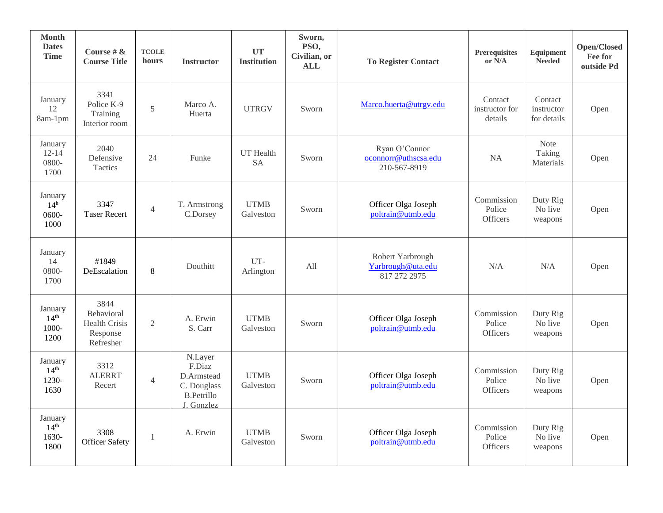| <b>Month</b><br><b>Dates</b><br><b>Time</b>  | Course # $\&$<br><b>Course Title</b>                                | <b>TCOLE</b><br>hours | <b>Instructor</b>                                                                 | <b>UT</b><br><b>Institution</b> | Sworn,<br>PSO,<br>Civilian, or<br><b>ALL</b> | <b>To Register Contact</b>                            | Prerequisites<br>or N/A                 | Equipment<br><b>Needed</b>           | Open/Closed<br>Fee for<br>outside Pd |
|----------------------------------------------|---------------------------------------------------------------------|-----------------------|-----------------------------------------------------------------------------------|---------------------------------|----------------------------------------------|-------------------------------------------------------|-----------------------------------------|--------------------------------------|--------------------------------------|
| January<br>12<br>8am-1pm                     | 3341<br>Police K-9<br>Training<br>Interior room                     | 5                     | Marco A.<br>Huerta                                                                | <b>UTRGV</b>                    | Sworn                                        | Marco.huerta@utrgv.edu                                | Contact<br>instructor for<br>details    | Contact<br>instructor<br>for details | Open                                 |
| January<br>$12 - 14$<br>0800-<br>1700        | 2040<br>Defensive<br>Tactics                                        | 24                    | Funke                                                                             | <b>UT</b> Health<br><b>SA</b>   | Sworn                                        | Ryan O'Connor<br>oconnorr@uthscsa.edu<br>210-567-8919 | <b>NA</b>                               | Note<br>Taking<br>Materials          | Open                                 |
| January<br>14 <sup>h</sup><br>0600-<br>1000  | 3347<br><b>Taser Recert</b>                                         | $\overline{4}$        | T. Armstrong<br>C.Dorsey                                                          | <b>UTMB</b><br>Galveston        | Sworn                                        | Officer Olga Joseph<br>poltrain@utmb.edu              | Commission<br>Police<br><b>Officers</b> | Duty Rig<br>No live<br>weapons       | Open                                 |
| January<br>14<br>0800-<br>1700               | #1849<br>DeEscalation                                               | 8                     | Douthitt                                                                          | UT-<br>Arlington                | All                                          | Robert Yarbrough<br>Yarbrough@uta.edu<br>817 272 2975 | N/A                                     | N/A                                  | Open                                 |
| January<br>14 <sup>th</sup><br>1000-<br>1200 | 3844<br>Behavioral<br><b>Health Crisis</b><br>Response<br>Refresher | $\overline{2}$        | A. Erwin<br>S. Carr                                                               | <b>UTMB</b><br>Galveston        | Sworn                                        | Officer Olga Joseph<br>poltrain@utmb.edu              | Commission<br>Police<br>Officers        | Duty Rig<br>No live<br>weapons       | Open                                 |
| January<br>14 <sup>th</sup><br>1230-<br>1630 | 3312<br><b>ALERRT</b><br>Recert                                     | $\overline{4}$        | N.Layer<br>F.Diaz<br>D.Armstead<br>C. Douglass<br><b>B.Petrillo</b><br>J. Gonzlez | <b>UTMB</b><br>Galveston        | Sworn                                        | Officer Olga Joseph<br>poltrain@utmb.edu              | Commission<br>Police<br><b>Officers</b> | Duty Rig<br>No live<br>weapons       | Open                                 |
| January<br>14 <sup>th</sup><br>1630-<br>1800 | 3308<br><b>Officer Safety</b>                                       | $\overline{1}$        | A. Erwin                                                                          | <b>UTMB</b><br>Galveston        | Sworn                                        | Officer Olga Joseph<br>poltrain@utmb.edu              | Commission<br>Police<br><b>Officers</b> | Duty Rig<br>No live<br>weapons       | Open                                 |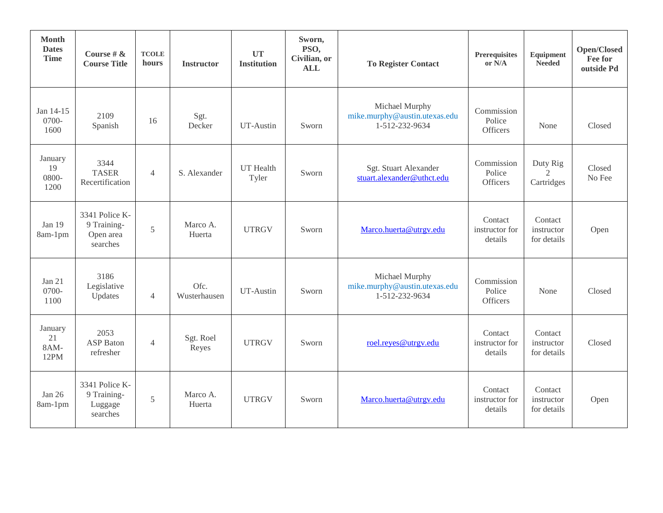| <b>Month</b><br><b>Dates</b><br><b>Time</b> | Course # $\&$<br><b>Course Title</b>                   | <b>TCOLE</b><br>hours | <b>Instructor</b>    | <b>UT</b><br><b>Institution</b> | Sworn,<br>PSO,<br>Civilian, or<br><b>ALL</b> | <b>To Register Contact</b>                                        | Prerequisites<br>or N/A              | Equipment<br><b>Needed</b>                            | Open/Closed<br>Fee for<br>outside Pd |
|---------------------------------------------|--------------------------------------------------------|-----------------------|----------------------|---------------------------------|----------------------------------------------|-------------------------------------------------------------------|--------------------------------------|-------------------------------------------------------|--------------------------------------|
| Jan 14-15<br>0700-<br>1600                  | 2109<br>Spanish                                        | 16                    | Sgt.<br>Decker       | UT-Austin                       | Sworn                                        | Michael Murphy<br>mike.murphy@austin.utexas.edu<br>1-512-232-9634 | Commission<br>Police<br>Officers     | None                                                  | Closed                               |
| January<br>19<br>0800-<br>1200              | 3344<br><b>TASER</b><br>Recertification                | $\overline{4}$        | S. Alexander         | UT Health<br>Tyler              | Sworn                                        | Sgt. Stuart Alexander<br>stuart.alexander@uthct.edu               | Commission<br>Police<br>Officers     | Duty Rig<br>$\mathcal{D}_{\mathcal{L}}$<br>Cartridges | Closed<br>No Fee                     |
| Jan 19<br>8am-1pm                           | 3341 Police K-<br>9 Training-<br>Open area<br>searches | 5                     | Marco A.<br>Huerta   | <b>UTRGV</b>                    | Sworn                                        | Marco.huerta@utrgv.edu                                            | Contact<br>instructor for<br>details | Contact<br>instructor<br>for details                  | Open                                 |
| Jan 21<br>0700-<br>1100                     | 3186<br>Legislative<br>Updates                         | $\overline{4}$        | Ofc.<br>Wusterhausen | UT-Austin                       | Sworn                                        | Michael Murphy<br>mike.murphy@austin.utexas.edu<br>1-512-232-9634 | Commission<br>Police<br>Officers     | None                                                  | Closed                               |
| January<br>21<br>8AM-<br>12PM               | 2053<br><b>ASP</b> Baton<br>refresher                  | $\overline{4}$        | Sgt. Roel<br>Reyes   | <b>UTRGV</b>                    | Sworn                                        | roel.reyes@utrgv.edu                                              | Contact<br>instructor for<br>details | Contact<br>instructor<br>for details                  | Closed                               |
| Jan $26$<br>8am-1pm                         | 3341 Police K-<br>9 Training-<br>Luggage<br>searches   | 5                     | Marco A.<br>Huerta   | <b>UTRGV</b>                    | Sworn                                        | Marco.huerta@utrgv.edu                                            | Contact<br>instructor for<br>details | Contact<br>instructor<br>for details                  | Open                                 |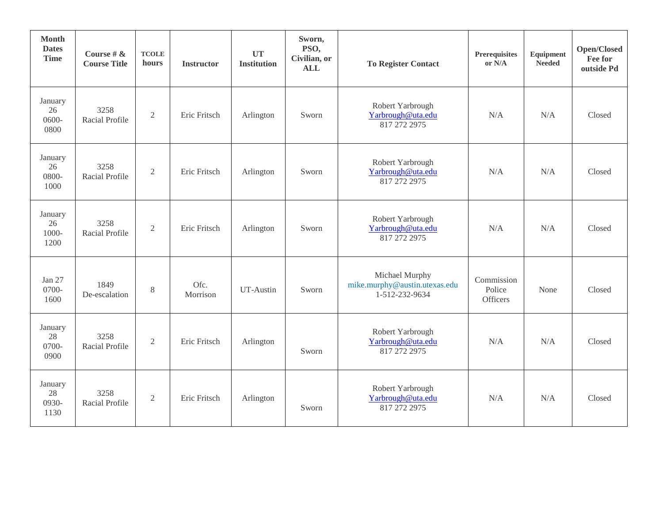| <b>Month</b><br><b>Dates</b><br><b>Time</b> | Course # $\&$<br><b>Course Title</b> | <b>TCOLE</b><br>hours | <b>Instructor</b> | <b>UT</b><br><b>Institution</b> | Sworn,<br>PSO,<br>Civilian, or<br><b>ALL</b> | <b>To Register Contact</b>                                        | <b>Prerequisites</b><br>or $N/A$ | Equipment<br><b>Needed</b> | Open/Closed<br>Fee for<br>outside Pd |
|---------------------------------------------|--------------------------------------|-----------------------|-------------------|---------------------------------|----------------------------------------------|-------------------------------------------------------------------|----------------------------------|----------------------------|--------------------------------------|
| January<br>26<br>$0600 -$<br>0800           | 3258<br>Racial Profile               | $\overline{2}$        | Eric Fritsch      | Arlington                       | Sworn                                        | Robert Yarbrough<br>Yarbrough@uta.edu<br>817 272 2975             | N/A                              | N/A                        | Closed                               |
| January<br>26<br>0800-<br>1000              | 3258<br>Racial Profile               | $\overline{2}$        | Eric Fritsch      | Arlington                       | Sworn                                        | Robert Yarbrough<br>Yarbrough@uta.edu<br>817 272 2975             | N/A                              | N/A                        | Closed                               |
| January<br>26<br>1000-<br>1200              | 3258<br>Racial Profile               | $\overline{2}$        | Eric Fritsch      | Arlington                       | Sworn                                        | Robert Yarbrough<br>Yarbrough@uta.edu<br>817 272 2975             | N/A                              | N/A                        | Closed                               |
| Jan 27<br>0700-<br>1600                     | 1849<br>De-escalation                | 8                     | Ofc.<br>Morrison  | UT-Austin                       | Sworn                                        | Michael Murphy<br>mike.murphy@austin.utexas.edu<br>1-512-232-9634 | Commission<br>Police<br>Officers | None                       | Closed                               |
| January<br>28<br>0700-<br>0900              | 3258<br>Racial Profile               | $\overline{2}$        | Eric Fritsch      | Arlington                       | Sworn                                        | Robert Yarbrough<br>Yarbrough@uta.edu<br>817 272 2975             | N/A                              | N/A                        | Closed                               |
| January<br>28<br>0930-<br>1130              | 3258<br>Racial Profile               | $\overline{2}$        | Eric Fritsch      | Arlington                       | Sworn                                        | Robert Yarbrough<br>Yarbrough@uta.edu<br>817 272 2975             | N/A                              | N/A                        | Closed                               |